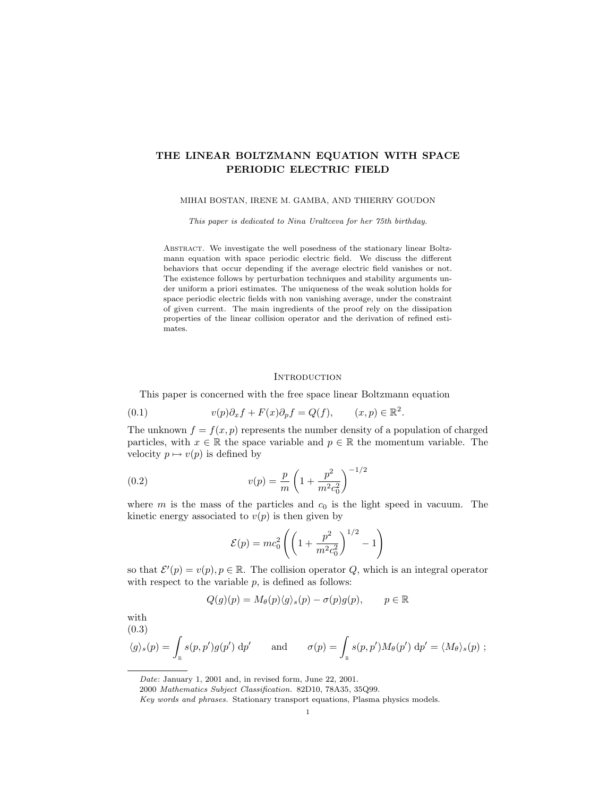# THE LINEAR BOLTZMANN EQUATION WITH SPACE PERIODIC ELECTRIC FIELD

### MIHAI BOSTAN, IRENE M. GAMBA, AND THIERRY GOUDON

This paper is dedicated to Nina Uraltceva for her 75th birthday.

ABSTRACT. We investigate the well posedness of the stationary linear Boltzmann equation with space periodic electric field. We discuss the different behaviors that occur depending if the average electric field vanishes or not. The existence follows by perturbation techniques and stability arguments under uniform a priori estimates. The uniqueness of the weak solution holds for space periodic electric fields with non vanishing average, under the constraint of given current. The main ingredients of the proof rely on the dissipation properties of the linear collision operator and the derivation of refined estimates.

### **INTRODUCTION**

This paper is concerned with the free space linear Boltzmann equation

(0.1) 
$$
v(p)\partial_x f + F(x)\partial_p f = Q(f), \qquad (x, p) \in \mathbb{R}^2
$$

The unknown  $f = f(x, p)$  represents the number density of a population of charged particles, with  $x \in \mathbb{R}$  the space variable and  $p \in \mathbb{R}$  the momentum variable. The velocity  $p \mapsto v(p)$  is defined by

.

(0.2) 
$$
v(p) = \frac{p}{m} \left( 1 + \frac{p^2}{m^2 c_0^2} \right)^{-1/2}
$$

where m is the mass of the particles and  $c_0$  is the light speed in vacuum. The kinetic energy associated to  $v(p)$  is then given by

$$
\mathcal{E}(p) = mc_0^2 \left( \left( 1 + \frac{p^2}{m^2 c_0^2} \right)^{1/2} - 1 \right)
$$

so that  $\mathcal{E}'(p) = v(p), p \in \mathbb{R}$ . The collision operator Q, which is an integral operator with respect to the variable  $p$ , is defined as follows:

$$
Q(g)(p) = M_{\theta}(p)\langle g \rangle_s(p) - \sigma(p)g(p), \qquad p \in \mathbb{R}
$$

with  $(0.3)$ 

$$
\langle g \rangle_s(p) = \int_{\mathbb{R}} s(p, p') g(p') \, dp'
$$
 and  $\sigma(p) = \int_{\mathbb{R}} s(p, p') M_{\theta}(p') \, dp' = \langle M_{\theta} \rangle_s(p) ;$ 

Date: January 1, 2001 and, in revised form, June 22, 2001.

<sup>2000</sup> Mathematics Subject Classification. 82D10, 78A35, 35Q99.

Key words and phrases. Stationary transport equations, Plasma physics models.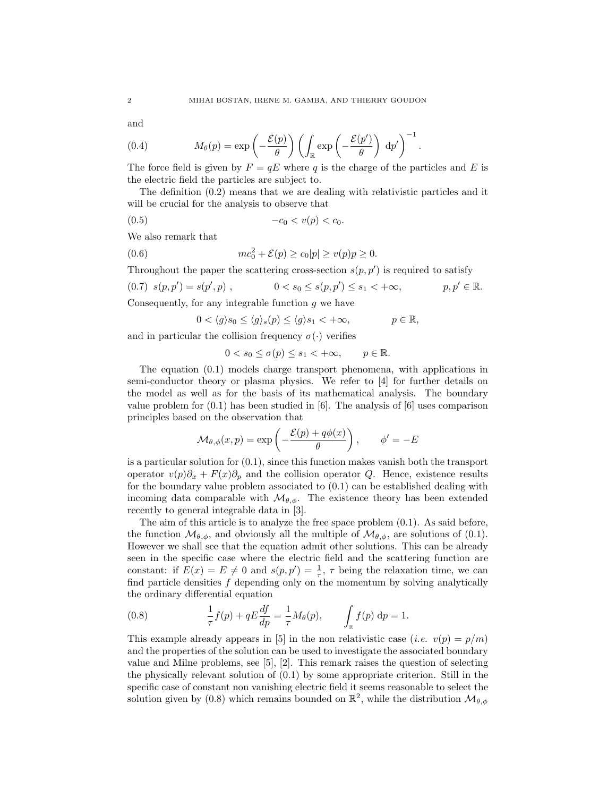and

(0.4) 
$$
M_{\theta}(p) = \exp\left(-\frac{\mathcal{E}(p)}{\theta}\right) \left(\int_{\mathbb{R}} \exp\left(-\frac{\mathcal{E}(p')}{\theta}\right) dp'\right)^{-1}.
$$

The force field is given by  $F = qE$  where q is the charge of the particles and E is the electric field the particles are subject to.

The definition (0.2) means that we are dealing with relativistic particles and it will be crucial for the analysis to observe that

$$
(0.5) \t -c_0 < v(p) < c_0.
$$

We also remark that

(0.6) 
$$
mc_0^2 + \mathcal{E}(p) \ge c_0 |p| \ge v(p)p \ge 0.
$$

Throughout the paper the scattering cross-section  $s(p, p')$  is required to satisfy

$$
(0.7) \ s(p, p') = s(p', p) \ , \qquad \qquad 0 < s_0 \le s(p, p') \le s_1 < +\infty \ , \qquad \qquad p, p' \in \mathbb{R}.
$$

Consequently, for any integrable function  $g$  we have

$$
0 < \langle g \rangle s_0 \le \langle g \rangle_s(p) \le \langle g \rangle s_1 < +\infty, \qquad p \in \mathbb{R},
$$

and in particular the collision frequency  $\sigma(\cdot)$  verifies

$$
0 < s_0 \le \sigma(p) \le s_1 < +\infty, \qquad p \in \mathbb{R}.
$$

The equation (0.1) models charge transport phenomena, with applications in semi-conductor theory or plasma physics. We refer to [4] for further details on the model as well as for the basis of its mathematical analysis. The boundary value problem for  $(0.1)$  has been studied in [6]. The analysis of [6] uses comparison principles based on the observation that

$$
\mathcal{M}_{\theta,\phi}(x,p) = \exp\left(-\frac{\mathcal{E}(p) + q\phi(x)}{\theta}\right), \qquad \phi' = -E
$$

is a particular solution for  $(0.1)$ , since this function makes vanish both the transport operator  $v(p)\partial_x + F(x)\partial_p$  and the collision operator Q. Hence, existence results for the boundary value problem associated to (0.1) can be established dealing with incoming data comparable with  $\mathcal{M}_{\theta,\phi}$ . The existence theory has been extended recently to general integrable data in [3].

The aim of this article is to analyze the free space problem (0.1). As said before, the function  $\mathcal{M}_{\theta,\phi}$ , and obviously all the multiple of  $\mathcal{M}_{\theta,\phi}$ , are solutions of (0.1). However we shall see that the equation admit other solutions. This can be already seen in the specific case where the electric field and the scattering function are constant: if  $E(x) = E \neq 0$  and  $s(p, p') = \frac{1}{\tau}$ ,  $\tau$  being the relaxation time, we can find particle densities  $f$  depending only on the momentum by solving analytically the ordinary differential equation

(0.8) 
$$
\frac{1}{\tau} f(p) + q E \frac{df}{dp} = \frac{1}{\tau} M_{\theta}(p), \qquad \int_{\mathbb{R}} f(p) dp = 1.
$$

This example already appears in [5] in the non relativistic case (*i.e.*  $v(p) = p/m$ ) and the properties of the solution can be used to investigate the associated boundary value and Milne problems, see [5], [2]. This remark raises the question of selecting the physically relevant solution of (0.1) by some appropriate criterion. Still in the specific case of constant non vanishing electric field it seems reasonable to select the solution given by (0.8) which remains bounded on  $\mathbb{R}^2$ , while the distribution  $\mathcal{M}_{\theta,\phi}$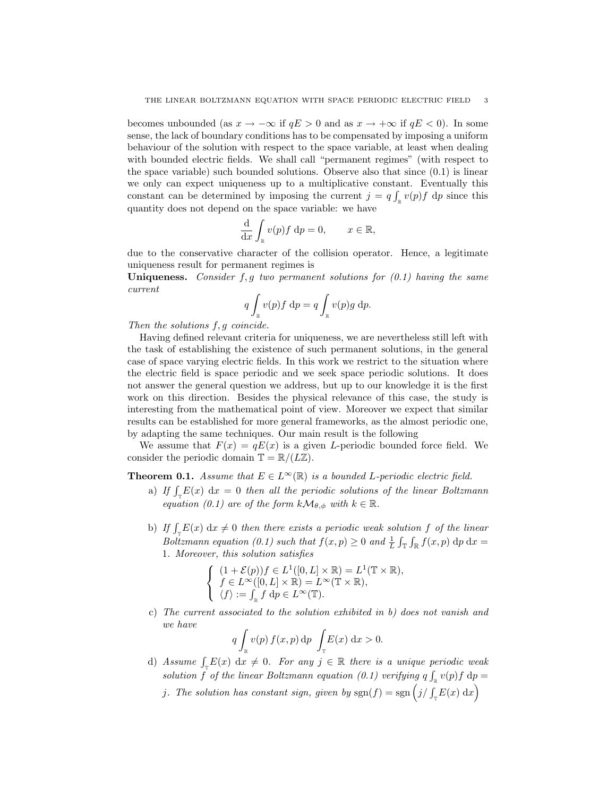becomes unbounded (as  $x \to -\infty$  if  $qE > 0$  and as  $x \to +\infty$  if  $qE < 0$ ). In some sense, the lack of boundary conditions has to be compensated by imposing a uniform behaviour of the solution with respect to the space variable, at least when dealing with bounded electric fields. We shall call "permanent regimes" (with respect to the space variable) such bounded solutions. Observe also that since (0.1) is linear we only can expect uniqueness up to a multiplicative constant. Eventually this constant can be determined by imposing the current  $j = q \int_{\mathbb{R}} v(p) f dp$  since this quantity does not depend on the space variable: we have

$$
\frac{\mathrm{d}}{\mathrm{d}x} \int_{\mathbb{R}} v(p) f \, \mathrm{d}p = 0, \qquad x \in \mathbb{R},
$$

due to the conservative character of the collision operator. Hence, a legitimate uniqueness result for permanent regimes is

Uniqueness. Consider  $f, g$  two permanent solutions for  $(0.1)$  having the same current

$$
q \int_{\mathbb{R}} v(p) f \, \mathrm{d}p = q \int_{\mathbb{R}} v(p) g \, \mathrm{d}p.
$$

Then the solutions  $f, g$  coincide.

Having defined relevant criteria for uniqueness, we are nevertheless still left with the task of establishing the existence of such permanent solutions, in the general case of space varying electric fields. In this work we restrict to the situation where the electric field is space periodic and we seek space periodic solutions. It does not answer the general question we address, but up to our knowledge it is the first work on this direction. Besides the physical relevance of this case, the study is interesting from the mathematical point of view. Moreover we expect that similar results can be established for more general frameworks, as the almost periodic one, by adapting the same techniques. Our main result is the following

We assume that  $F(x) = qE(x)$  is a given L-periodic bounded force field. We consider the periodic domain  $\mathbb{T} = \mathbb{R}/(L\mathbb{Z})$ .

**Theorem 0.1.** Assume that  $E \in L^{\infty}(\mathbb{R})$  is a bounded L-periodic electric field.

- a) If  $\int_{\tau} E(x) dx = 0$  then all the periodic solutions of the linear Boltzmann equation (0.1) are of the form  $k\mathcal{M}_{\theta,\phi}$  with  $k \in \mathbb{R}$ .
- b) If  $\int_{\mathbb{T}} E(x) dx \neq 0$  then there exists a periodic weak solution f of the linear Boltzmann equation (0.1) such that  $f(x, p) \ge 0$  and  $\frac{1}{L} \int_{\mathbb{T}} \int_{\mathbb{R}} f(x, p) dp dx =$ 1. Moreover, this solution satisfies

$$
\left\{\begin{array}{l} (1+\mathcal{E}(p))f\in L^1([0,L]\times\mathbb{R})=L^1(\mathbb{T}\times\mathbb{R}),\\ f\in L^\infty([0,L]\times\mathbb{R})=L^\infty(\mathbb{T}\times\mathbb{R}),\\ \langle f\rangle:=\int_\mathbb{R} f\;\mathrm{d} p\in L^\infty(\mathbb{T}).\end{array}\right.
$$

c) The current associated to the solution exhibited in b) does not vanish and we have

$$
q \int_{\mathbb{R}} v(p) f(x, p) dp \int_{\mathbb{T}} E(x) dx > 0.
$$

- d) Assume  $\int_{\mathbb{T}} E(x) dx \neq 0$ . For any  $j \in \mathbb{R}$  there is a unique periodic weak solution f of the linear Boltzmann equation (0.1) verifying  $q \int_{\mathbb{R}} v(p) f dp =$ 
	- j. The solution has constant sign, given by  $sgn(f) = sgn (j/\int_{\tau} E(x) dx)$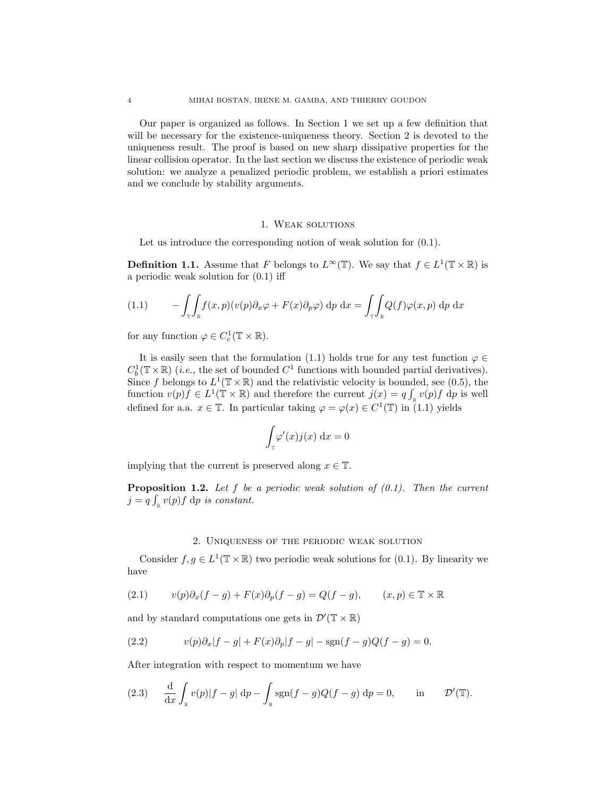Our paper is organized as follows. In Section 1 we set up a few definition that will be necessary for the existence-uniqueness theory. Section 2 is devoted to the uniqueness result. The proof is based on new sharp dissipative properties for the linear collision operator. In the last section we discuss the existence of periodic weak solution: we analyze a penalized periodic problem, we establish a priori estimates and we conclude by stability arguments.

### 1. Weak solutions

Let us introduce the corresponding notion of weak solution for  $(0.1)$ .

**Definition 1.1.** Assume that F belongs to  $L^{\infty}(\mathbb{T})$ . We say that  $f \in L^{1}(\mathbb{T} \times \mathbb{R})$  is a periodic weak solution for (0.1) iff

(1.1) 
$$
- \int_{\mathbb{T}} \int_{\mathbb{R}} f(x, p)(v(p) \partial_x \varphi + F(x) \partial_p \varphi) \, dp \, dx = \int_{\mathbb{T}} \int_{\mathbb{R}} Q(f) \varphi(x, p) \, dp \, dx
$$

for any function  $\varphi \in C_c^1(\mathbb{T} \times \mathbb{R})$ .

It is easily seen that the formulation (1.1) holds true for any test function  $\varphi \in$  $C_b^1(\mathbb{T} \times \mathbb{R})$  (*i.e.*, the set of bounded  $C^1$  functions with bounded partial derivatives). Since f belongs to  $L^1(\mathbb{T} \times \mathbb{R})$  and the relativistic velocity is bounded, see (0.5), the function  $v(p)f \in L^1(\mathbb{T} \times \mathbb{R})$  and therefore the current  $j(x) = q \int_{\mathbb{R}} v(p)f \, dp$  is well defined for a.a.  $x \in \mathbb{T}$ . In particular taking  $\varphi = \varphi(x) \in C^1(\mathbb{T})$  in  $(1.1)$  yields

$$
\int_{\mathbb{T}} \varphi'(x) j(x) \, \mathrm{d}x = 0
$$

implying that the current is preserved along  $x \in \mathbb{T}$ .

**Proposition 1.2.** Let f be a periodic weak solution of  $(0.1)$ . Then the current  $j = q \int_{\mathbb{R}} v(p) f \, \mathrm{d}p$  is constant.

### 2. Uniqueness of the periodic weak solution

Consider  $f, g \in L^1(\mathbb{T} \times \mathbb{R})$  two periodic weak solutions for (0.1). By linearity we have

(2.1) 
$$
v(p)\partial_x(f-g) + F(x)\partial_p(f-g) = Q(f-g), \qquad (x,p) \in \mathbb{T} \times \mathbb{R}
$$

and by standard computations one gets in  $\mathcal{D}'(\mathbb{T} \times \mathbb{R})$ 

(2.2) 
$$
v(p)\partial_x|f-g| + F(x)\partial_p|f-g| - \text{sgn}(f-g)Q(f-g) = 0.
$$

After integration with respect to momentum we have

(2.3) 
$$
\frac{\mathrm{d}}{\mathrm{d}x} \int_{\mathbb{R}} v(p)|f - g| \, \mathrm{d}p - \int_{\mathbb{R}} \text{sgn}(f - g)Q(f - g) \, \mathrm{d}p = 0, \quad \text{in} \quad \mathcal{D}'(\mathbb{T}).
$$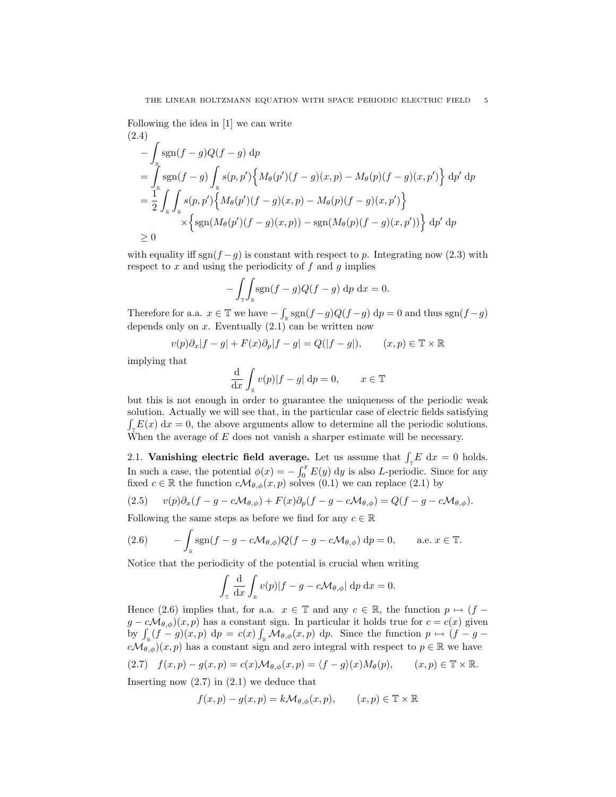Following the idea in [1] we can write (2.4)

$$
-\int_{\mathbb{R}} sgn(f-g)Q(f-g) dp
$$
  
= 
$$
\int_{\mathbb{R}} sgn(f-g) \int_{\mathbb{R}} s(p,p') \Big\{ M_{\theta}(p')(f-g)(x,p) - M_{\theta}(p)(f-g)(x,p') \Big\} dp' dp
$$
  
= 
$$
\frac{1}{2} \int_{\mathbb{R}} \int_{\mathbb{R}} s(p,p') \Big\{ M_{\theta}(p')(f-g)(x,p) - M_{\theta}(p)(f-g)(x,p') \Big\}
$$
  

$$
\times \Big\{ sgn(M_{\theta}(p')(f-g)(x,p)) - sgn(M_{\theta}(p)(f-g)(x,p')) \Big\} dp' dp
$$
  

$$
\geq 0
$$

with equality iff sgn(f – g) is constant with respect to p. Integrating now (2.3) with respect to  $x$  and using the periodicity of  $f$  and  $g$  implies

$$
-\int_{\mathbb{T}}\int_{\mathbb{R}}\text{sgn}(f-g)Q(f-g)\,\mathrm{d}p\,\mathrm{d}x=0.
$$

Therefore for a.a.  $x \in \mathbb{T}$  we have  $-\int_{\mathbb{R}} \text{sgn}(f-g)Q(f-g) dp = 0$  and thus  $\text{sgn}(f-g)$ depends only on  $x$ . Eventually  $(2.1)$  can be written now

$$
v(p)\partial_x|f-g|+F(x)\partial_p|f-g|=Q(|f-g|),\qquad (x,p)\in\mathbb{T}\times\mathbb{R}
$$

implying that

$$
\frac{\mathrm{d}}{\mathrm{d}x} \int_{\mathbb{R}} v(p)|f - g| \, \mathrm{d}p = 0, \qquad x \in \mathbb{T}
$$

but this is not enough in order to guarantee the uniqueness of the periodic weak solution. Actually we will see that, in the particular case of electric fields satisfying  $\int_{\tau} E(x) dx = 0$ , the above arguments allow to determine all the periodic solutions. When the average of  $E$  does not vanish a sharper estimate will be necessary.

2.1. Vanishing electric field average. Let us assume that  $\int_{\mathbb{T}} E \, dx = 0$  holds. In such a case, the potential  $\phi(x) = -\int_0^x E(y) \, dy$  is also L-periodic. Since for any fixed  $c \in \mathbb{R}$  the function  $c\mathcal{M}_{\theta,\phi}(x,p)$  solves  $(0.1)$  we can replace  $(2.1)$  by

(2.5) 
$$
v(p)\partial_x(f-g-c\mathcal{M}_{\theta,\phi})+F(x)\partial_p(f-g-c\mathcal{M}_{\theta,\phi})=Q(f-g-c\mathcal{M}_{\theta,\phi}).
$$

Following the same steps as before we find for any  $c \in \mathbb{R}$ 

(2.6) 
$$
- \int_{\mathbb{R}} sgn(f - g - c\mathcal{M}_{\theta,\phi}) Q(f - g - c\mathcal{M}_{\theta,\phi}) dp = 0, \quad \text{a.e. } x \in \mathbb{T}.
$$

Notice that the periodicity of the potential is crucial when writing

$$
\int_{\mathbb{T}} \frac{\mathrm{d}}{\mathrm{d}x} \int_{\mathbb{R}} v(p) |f - g - c \mathcal{M}_{\theta, \phi}| \, \mathrm{d}p \, \mathrm{d}x = 0.
$$

Hence (2.6) implies that, for a.a.  $x \in \mathbb{T}$  and any  $c \in \mathbb{R}$ , the function  $p \mapsto (f$  $g - c\mathcal{M}_{\theta,\phi}(x,p)$  has a constant sign. In particular it holds true for  $c = c(x)$  given by  $\int_{\mathbb{R}} (f - g)(x, p) dp = c(x) \int_{\mathbb{R}} \mathcal{M}_{\theta, \phi}(x, p) dp$ . Since the function  $p \mapsto (f - g - g)(x, p) dp$  $c\mathcal{M}_{\theta,\phi}(x,p)$  has a constant sign and zero integral with respect to  $p \in \mathbb{R}$  we have

(2.7) 
$$
f(x, p) - g(x, p) = c(x) \mathcal{M}_{\theta, \phi}(x, p) = \langle f - g \rangle(x) M_{\theta}(p), \qquad (x, p) \in \mathbb{T} \times \mathbb{R}.
$$

Inserting now (2.7) in (2.1) we deduce that

$$
f(x,p) - g(x,p) = k \mathcal{M}_{\theta,\phi}(x,p), \qquad (x,p) \in \mathbb{T} \times \mathbb{R}
$$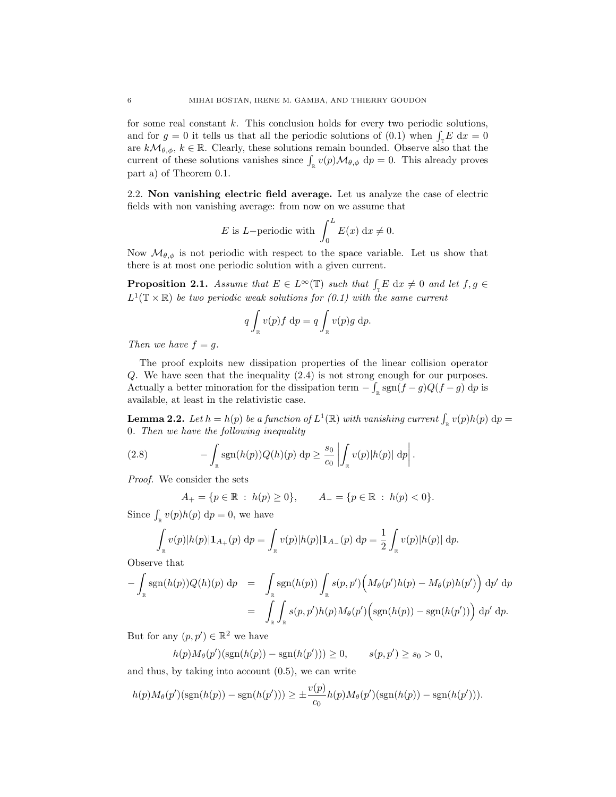for some real constant  $k$ . This conclusion holds for every two periodic solutions, and for  $g = 0$  it tells us that all the periodic solutions of (0.1) when  $\int_{\mathbb{T}} E \, dx = 0$ are  $k\mathcal{M}_{\theta,\phi}, k \in \mathbb{R}$ . Clearly, these solutions remain bounded. Observe also that the current of these solutions vanishes since  $\int_{\mathbb{R}} v(p) \mathcal{M}_{\theta,\phi} dp = 0$ . This already proves part a) of Theorem 0.1.

2.2. Non vanishing electric field average. Let us analyze the case of electric fields with non vanishing average: from now on we assume that

E is L–periodic with 
$$
\int_0^L E(x) dx \neq 0
$$
.

Now  $\mathcal{M}_{\theta,\phi}$  is not periodic with respect to the space variable. Let us show that there is at most one periodic solution with a given current.

**Proposition 2.1.** Assume that  $E \in L^{\infty}(\mathbb{T})$  such that  $\int_{\mathbb{T}} E \, dx \neq 0$  and let  $f, g \in$  $L^1(\mathbb{T} \times \mathbb{R})$  be two periodic weak solutions for  $(0.1)$  with the same current

$$
q \int_{\mathbb{R}} v(p) f \, \mathrm{d}p = q \int_{\mathbb{R}} v(p) g \, \mathrm{d}p.
$$

Then we have  $f = g$ .

The proof exploits new dissipation properties of the linear collision operator Q. We have seen that the inequality (2.4) is not strong enough for our purposes. Actually a better minoration for the dissipation term  $-\int_{\mathbb{R}} \text{sgn}(f-g)Q(f-g) dp$  is available, at least in the relativistic case.

**Lemma 2.2.** Let  $h = h(p)$  be a function of  $L^1(\mathbb{R})$  with vanishing current  $\int_{\mathbb{R}} v(p)h(p) dp =$ 0. Then we have the following inequality

(2.8) 
$$
-\int_{\mathbb{R}} \mathrm{sgn}(h(p))Q(h)(p) dp \geq \frac{s_0}{c_0} \left| \int_{\mathbb{R}} v(p)|h(p)| dp \right|.
$$

Proof. We consider the sets

$$
A_{+} = \{ p \in \mathbb{R} : h(p) \ge 0 \}, \qquad A_{-} = \{ p \in \mathbb{R} : h(p) < 0 \}.
$$

Since  $\int_{\mathbb{R}} v(p)h(p) dp = 0$ , we have

$$
\int_{\mathbb{R}} v(p)|h(p)|\mathbf{1}_{A_{+}}(p) dp = \int_{\mathbb{R}} v(p)|h(p)|\mathbf{1}_{A_{-}}(p) dp = \frac{1}{2} \int_{\mathbb{R}} v(p)|h(p)| dp.
$$

Observe that

$$
-\int_{\mathbb{R}} sgn(h(p))Q(h)(p) dp = \int_{\mathbb{R}} sgn(h(p)) \int_{\mathbb{R}} s(p, p') \Big(M_{\theta}(p')h(p) - M_{\theta}(p)h(p')\Big) dp' dp
$$
  

$$
= \int_{\mathbb{R}} \int_{\mathbb{R}} s(p, p')h(p)M_{\theta}(p') \Big(sgn(h(p)) - sgn(h(p'))\Big) dp' dp.
$$

But for any  $(p, p') \in \mathbb{R}^2$  we have

$$
h(p)M_{\theta}(p')(\text{sgn}(h(p)) - \text{sgn}(h(p'))) \ge 0, \qquad s(p, p') \ge s_0 > 0,
$$

and thus, by taking into account (0.5), we can write

$$
h(p)M_{\theta}(p')(\text{sgn}(h(p)) - \text{sgn}(h(p'))) \geq \pm \frac{v(p)}{c_0}h(p)M_{\theta}(p')(\text{sgn}(h(p)) - \text{sgn}(h(p'))).
$$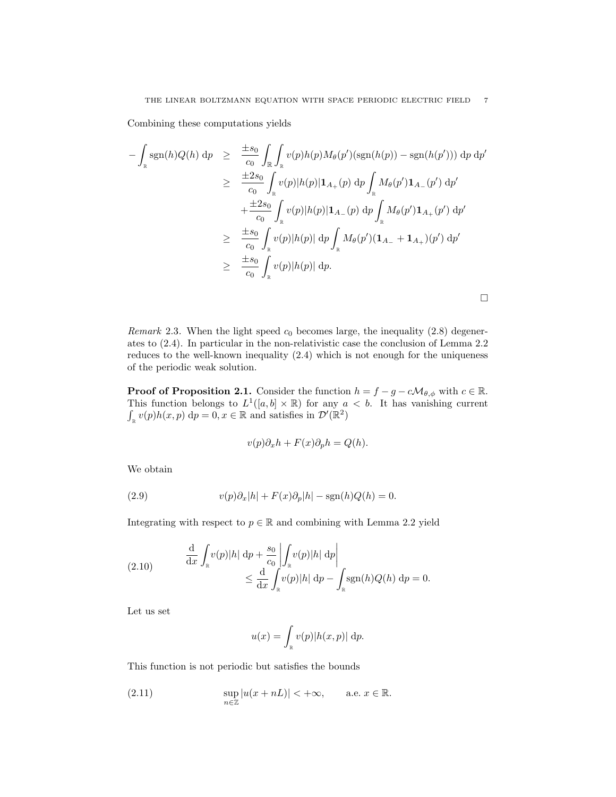Combining these computations yields

$$
-\int_{\mathbb{R}} sgn(h)Q(h) dp \geq \frac{\pm s_0}{c_0} \int_{\mathbb{R}} \int_{\mathbb{R}} v(p)h(p)M_{\theta}(p') (sgn(h(p)) - sgn(h(p'))) dp dp'
$$
  
\n
$$
\geq \frac{\pm 2s_0}{c_0} \int_{\mathbb{R}} v(p)|h(p)|\mathbf{1}_{A_+}(p) dp \int_{\mathbb{R}} M_{\theta}(p')\mathbf{1}_{A_-}(p') dp'
$$
  
\n
$$
+ \frac{\pm 2s_0}{c_0} \int_{\mathbb{R}} v(p)|h(p)|\mathbf{1}_{A_-}(p) dp \int_{\mathbb{R}} M_{\theta}(p')\mathbf{1}_{A_+}(p') dp'
$$
  
\n
$$
\geq \frac{\pm s_0}{c_0} \int_{\mathbb{R}} v(p)|h(p)| dp \int_{\mathbb{R}} M_{\theta}(p')( \mathbf{1}_{A_-} + \mathbf{1}_{A_+})(p') dp'
$$
  
\n
$$
\geq \frac{\pm s_0}{c_0} \int_{\mathbb{R}} v(p)|h(p)| dp.
$$

Remark 2.3. When the light speed  $c_0$  becomes large, the inequality (2.8) degenerates to (2.4). In particular in the non-relativistic case the conclusion of Lemma 2.2 reduces to the well-known inequality (2.4) which is not enough for the uniqueness of the periodic weak solution.

**Proof of Proposition 2.1.** Consider the function  $h = f - g - c\mathcal{M}_{\theta,\phi}$  with  $c \in \mathbb{R}$ . This function belongs to  $L^1([a, b] \times \mathbb{R})$  for any  $a < b$ . It has vanishing current  $\int_{\mathbb{R}} v(p)h(x,p) dp = 0, x \in \mathbb{R}$  and satisfies in  $\mathcal{D}'(\mathbb{R}^2)$ 

$$
v(p)\partial_x h + F(x)\partial_p h = Q(h).
$$

We obtain

(2.9) 
$$
v(p)\partial_x|h| + F(x)\partial_p|h| - \text{sgn}(h)Q(h) = 0.
$$

Integrating with respect to  $p \in \mathbb{R}$  and combining with Lemma 2.2 yield

(2.10) 
$$
\frac{\mathrm{d}}{\mathrm{d}x} \int_{\mathbb{R}} v(p)|h| \, \mathrm{d}p + \frac{s_0}{c_0} \left| \int_{\mathbb{R}} v(p)|h| \, \mathrm{d}p \right|
$$

$$
\leq \frac{\mathrm{d}}{\mathrm{d}x} \int_{\mathbb{R}} v(p)|h| \, \mathrm{d}p - \int_{\mathbb{R}} \text{sgn}(h)Q(h) \, \mathrm{d}p = 0.
$$

Let us set

$$
u(x) = \int_{\mathbb{R}} v(p)|h(x,p)| \, \mathrm{d}p.
$$

This function is not periodic but satisfies the bounds

(2.11) 
$$
\sup_{n\in\mathbb{Z}}|u(x+nL)| < +\infty, \quad \text{a.e. } x \in \mathbb{R}.
$$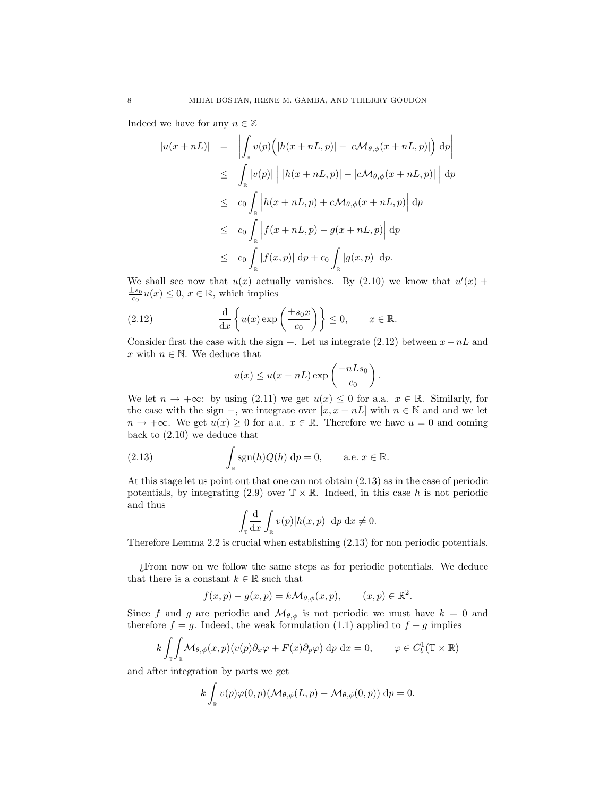Indeed we have for any  $n \in \mathbb{Z}$ 

$$
|u(x+nL)| = \left| \int_{\mathbb{R}} v(p) \Big( |h(x+nL, p)| - |c \mathcal{M}_{\theta, \phi}(x+nL, p)| \Big) dp \right|
$$
  
\n
$$
\leq \int_{\mathbb{R}} |v(p)| | |h(x+nL, p)| - |c \mathcal{M}_{\theta, \phi}(x+nL, p)| | dp
$$
  
\n
$$
\leq c_0 \int_{\mathbb{R}} |h(x+nL, p) + c \mathcal{M}_{\theta, \phi}(x+nL, p)| dp
$$
  
\n
$$
\leq c_0 \int_{\mathbb{R}} |f(x+nL, p) - g(x+nL, p)| dp
$$
  
\n
$$
\leq c_0 \int_{\mathbb{R}} |f(x, p)| dp + c_0 \int_{\mathbb{R}} |g(x, p)| dp.
$$

We shall see now that  $u(x)$  actually vanishes. By  $(2.10)$  we know that  $u'(x)$  +  $\frac{\pm s_0}{c_0}u(x) \leq 0, x \in \mathbb{R}$ , which implies

(2.12) 
$$
\frac{d}{dx} \left\{ u(x) \exp\left(\frac{\pm s_0 x}{c_0}\right) \right\} \le 0, \qquad x \in \mathbb{R}.
$$

Consider first the case with the sign +. Let us integrate (2.12) between  $x - nL$  and x with  $n \in \mathbb{N}$ . We deduce that

$$
u(x) \leq u(x - nL) \exp\left(\frac{-nLs_0}{c_0}\right).
$$

We let  $n \to +\infty$ : by using (2.11) we get  $u(x) \leq 0$  for a.a.  $x \in \mathbb{R}$ . Similarly, for the case with the sign –, we integrate over  $[x, x + nL]$  with  $n \in \mathbb{N}$  and and we let  $n \to +\infty$ . We get  $u(x) \geq 0$  for a.a.  $x \in \mathbb{R}$ . Therefore we have  $u = 0$  and coming back to (2.10) we deduce that

(2.13) 
$$
\int_{\mathbb{R}} \text{sgn}(h) Q(h) \, \mathrm{d}p = 0, \quad \text{a.e. } x \in \mathbb{R}.
$$

At this stage let us point out that one can not obtain (2.13) as in the case of periodic potentials, by integrating (2.9) over  $\mathbb{T} \times \mathbb{R}$ . Indeed, in this case h is not periodic and thus

$$
\int_{\mathbb{T}} \frac{\mathrm{d}}{\mathrm{d}x} \int_{\mathbb{R}} v(p) |h(x, p)| \, \mathrm{d}p \, \mathrm{d}x \neq 0.
$$

Therefore Lemma 2.2 is crucial when establishing (2.13) for non periodic potentials.

¿From now on we follow the same steps as for periodic potentials. We deduce that there is a constant  $k \in \mathbb{R}$  such that

$$
f(x,p) - g(x,p) = k \mathcal{M}_{\theta,\phi}(x,p), \qquad (x,p) \in \mathbb{R}^2.
$$

Since f and g are periodic and  $\mathcal{M}_{\theta,\phi}$  is not periodic we must have  $k = 0$  and therefore  $f = g$ . Indeed, the weak formulation (1.1) applied to  $f - g$  implies

$$
k \int_{\mathbb{T}} \int_{\mathbb{R}} \mathcal{M}_{\theta,\phi}(x,p)(v(p)\partial_x \varphi + F(x)\partial_p \varphi) \,dp \,dx = 0, \qquad \varphi \in C_b^1(\mathbb{T} \times \mathbb{R})
$$

and after integration by parts we get

$$
k\int_{\mathbb{R}} v(p)\varphi(0,p)(\mathcal{M}_{\theta,\phi}(L,p) - \mathcal{M}_{\theta,\phi}(0,p)) dp = 0.
$$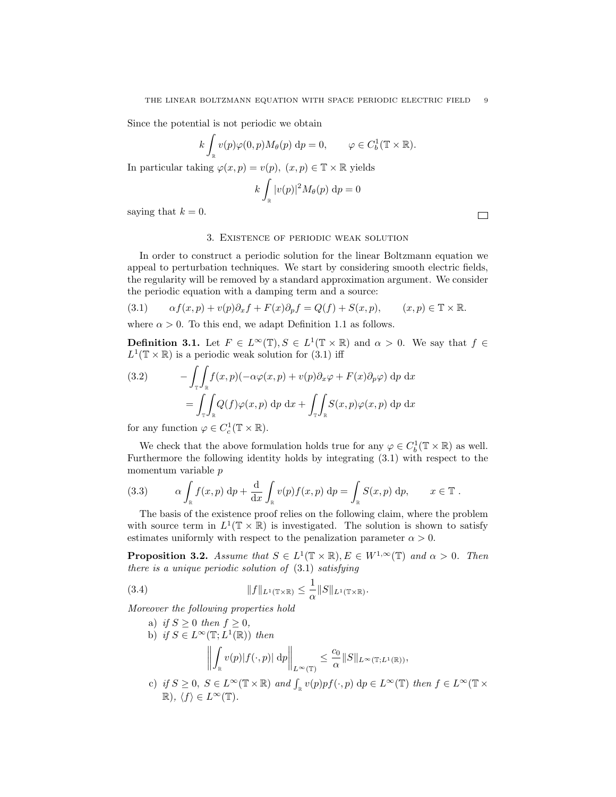Since the potential is not periodic we obtain

$$
k \int_{\mathbb{R}} v(p) \varphi(0, p) M_{\theta}(p) dp = 0, \qquad \varphi \in C_b^1(\mathbb{T} \times \mathbb{R}).
$$

In particular taking  $\varphi(x,p)=v(p),\; (x,p)\in \mathbb{T}\times \mathbb{R}$  yields

$$
k\int_{\mathbb{R}}|v(p)|^2M_{\theta}(p)\ \mathrm{d} p=0
$$

saying that  $k = 0$ .

### 3. Existence of periodic weak solution

 $\Box$ 

In order to construct a periodic solution for the linear Boltzmann equation we appeal to perturbation techniques. We start by considering smooth electric fields, the regularity will be removed by a standard approximation argument. We consider the periodic equation with a damping term and a source:

(3.1) 
$$
\alpha f(x,p) + v(p)\partial_x f + F(x)\partial_p f = Q(f) + S(x,p), \qquad (x,p) \in \mathbb{T} \times \mathbb{R}.
$$

where  $\alpha > 0$ . To this end, we adapt Definition 1.1 as follows.

**Definition 3.1.** Let  $F \in L^{\infty}(\mathbb{T}), S \in L^{1}(\mathbb{T} \times \mathbb{R})$  and  $\alpha > 0$ . We say that  $f \in$  $L^1(\mathbb{T} \times \mathbb{R})$  is a periodic weak solution for (3.1) iff

(3.2) 
$$
- \int_{\mathbb{T}} \int_{\mathbb{R}} f(x, p)(-\alpha \varphi(x, p) + v(p) \partial_x \varphi + F(x) \partial_p \varphi) dp dx
$$

$$
= \int_{\mathbb{T}} \int_{\mathbb{R}} Q(f) \varphi(x, p) dp dx + \int_{\mathbb{T}} \int_{\mathbb{R}} S(x, p) \varphi(x, p) dp dx
$$

for any function  $\varphi \in C_c^1(\mathbb{T} \times \mathbb{R})$ .

We check that the above formulation holds true for any  $\varphi \in C_b^1(\mathbb{T} \times \mathbb{R})$  as well. Furthermore the following identity holds by integrating (3.1) with respect to the momentum variable p

(3.3) 
$$
\alpha \int_{\mathbb{R}} f(x, p) dp + \frac{d}{dx} \int_{\mathbb{R}} v(p) f(x, p) dp = \int_{\mathbb{R}} S(x, p) dp, \qquad x \in \mathbb{T}.
$$

The basis of the existence proof relies on the following claim, where the problem with source term in  $L^1(\mathbb{T} \times \mathbb{R})$  is investigated. The solution is shown to satisfy estimates uniformly with respect to the penalization parameter  $\alpha > 0$ .

**Proposition 3.2.** Assume that  $S \in L^1(\mathbb{T} \times \mathbb{R}), E \in W^{1,\infty}(\mathbb{T})$  and  $\alpha > 0$ . Then there is a unique periodic solution of (3.1) satisfying

(3.4) 
$$
||f||_{L^1(\mathbb{T}\times\mathbb{R})} \leq \frac{1}{\alpha}||S||_{L^1(\mathbb{T}\times\mathbb{R})}.
$$

Moreover the following properties hold

- a) if  $S \geq 0$  then  $f \geq 0$ , b) if  $S \in L^{\infty}(\mathbb{T}; L^{1}(\mathbb{R}))$  then  $\begin{array}{c} \hline \end{array}$ Z  $\int\limits_{\mathbb{R}} v(p) |f(\cdot, p)| \; \mathrm{d} p \bigg\|_{L^{\infty}(\mathbb{T})}$  $\leq$   $\frac{c_0}{c}$  $\frac{\partial Q}{\partial \alpha}$   $||S||_{L^{\infty}(\mathbb{T};L^{1}(\mathbb{R}))},$
- c) if  $S \geq 0$ ,  $S \in L^{\infty}(\mathbb{T} \times \mathbb{R})$  and  $\int_{\mathbb{R}} v(p)pf(\cdot, p) dp \in L^{\infty}(\mathbb{T})$  then  $f \in L^{\infty}(\mathbb{T} \times$  $\mathbb{R}$ ),  $\langle f \rangle \in L^{\infty}(\mathbb{T})$ .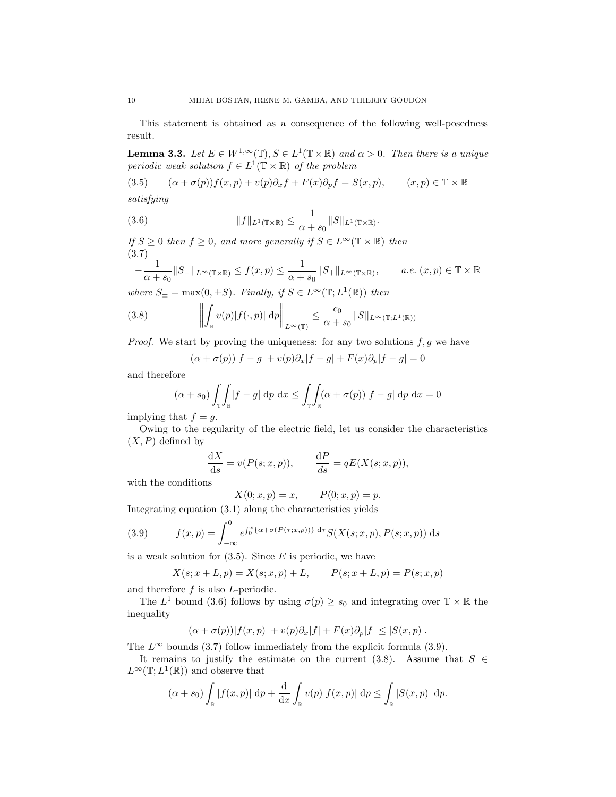This statement is obtained as a consequence of the following well-posedness result.

**Lemma 3.3.** Let  $E \in W^{1,\infty}(\mathbb{T}), S \in L^1(\mathbb{T} \times \mathbb{R})$  and  $\alpha > 0$ . Then there is a unique periodic weak solution  $f \in L^1(\mathbb{T} \times \mathbb{R})$  of the problem

(3.5) 
$$
(\alpha + \sigma(p))f(x, p) + v(p)\partial_x f + F(x)\partial_p f = S(x, p), \qquad (x, p) \in \mathbb{T} \times \mathbb{R}
$$
  
satisfying

(3.6) 
$$
||f||_{L^1(\mathbb{T}\times\mathbb{R})} \leq \frac{1}{\alpha+s_0}||S||_{L^1(\mathbb{T}\times\mathbb{R})}.
$$

If  $S \geq 0$  then  $f \geq 0$ , and more generally if  $S \in L^{\infty}(\mathbb{T} \times \mathbb{R})$  then (3.7)

$$
-\frac{1}{\alpha+s_0}\|S_-\|_{L^\infty(\mathbb{T}\times\mathbb{R})}\le f(x,p)\le \frac{1}{\alpha+s_0}\|S_+\|_{L^\infty(\mathbb{T}\times\mathbb{R})},\qquad a.e. (x,p)\in\mathbb{T}\times\mathbb{R}
$$

where  $S_{\pm} = \max(0, \pm S)$ . Finally, if  $S \in L^{\infty}(\mathbb{T}; L^{1}(\mathbb{R}))$  then

(3.8) 
$$
\left\| \int_{\mathbb{R}} v(p) |f(\cdot, p)| \, \mathrm{d}p \right\|_{L^{\infty}(\mathbb{T})} \leq \frac{c_0}{\alpha + s_0} \|S\|_{L^{\infty}(\mathbb{T}; L^1(\mathbb{R}))}
$$

*Proof.* We start by proving the uniqueness: for any two solutions  $f, g$  we have

$$
(\alpha + \sigma(p))|f - g| + v(p)\partial_x|f - g| + F(x)\partial_p|f - g| = 0
$$

and therefore

$$
(\alpha + s_0) \int_{\mathbb{T}} \int_{\mathbb{R}} |f - g| \, \mathrm{d}p \, \mathrm{d}x \le \int_{\mathbb{T}} \int_{\mathbb{R}} (\alpha + \sigma(p)) |f - g| \, \mathrm{d}p \, \mathrm{d}x = 0
$$

implying that  $f = g$ .

Owing to the regularity of the electric field, let us consider the characteristics  $(X, P)$  defined by

$$
\frac{\mathrm{d}X}{\mathrm{d}s} = v(P(s; x, p)), \qquad \frac{\mathrm{d}P}{\mathrm{d}s} = qE(X(s; x, p)),
$$

with the conditions

$$
X(0; x, p) = x,
$$
  $P(0; x, p) = p.$ 

Integrating equation (3.1) along the characteristics yields

(3.9) 
$$
f(x,p) = \int_{-\infty}^{0} e^{\int_{0}^{s} {\{\alpha + \sigma(P(\tau;x,p))\} d\tau} S(X(s;x,p), P(s;x,p)) ds}
$$

is a weak solution for  $(3.5)$ . Since E is periodic, we have

$$
X(s; x + L, p) = X(s; x, p) + L, \qquad P(s; x + L, p) = P(s; x, p)
$$

and therefore f is also L-periodic.

The  $L^1$  bound (3.6) follows by using  $\sigma(p) \geq s_0$  and integrating over  $\mathbb{T} \times \mathbb{R}$  the inequality

$$
(\alpha + \sigma(p))|f(x, p)| + v(p)\partial_x|f| + F(x)\partial_p|f| \leq |S(x, p)|.
$$

The  $L^{\infty}$  bounds (3.7) follow immediately from the explicit formula (3.9).

It remains to justify the estimate on the current (3.8). Assume that  $S \in$  $L^{\infty}(\mathbb{T}; L^{1}(\mathbb{R}))$  and observe that

$$
(\alpha+s_0)\int_{\mathbb{R}}|f(x,p)|\,dp+\frac{d}{dx}\int_{\mathbb{R}}v(p)|f(x,p)|\,dp\leq\int_{\mathbb{R}}|S(x,p)|\,dp.
$$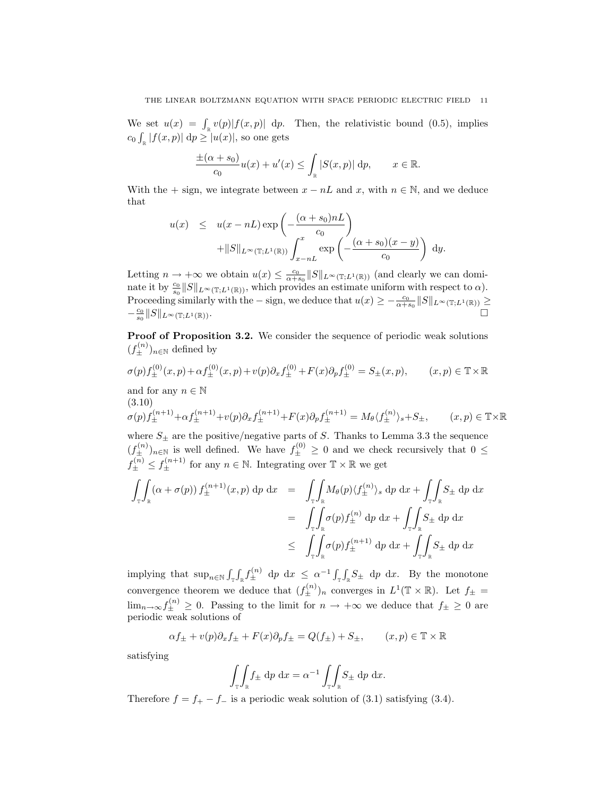We set  $u(x) = \int_{\mathbb{R}} v(p) |f(x, p)| dp$ . Then, the relativistic bound (0.5), implies  $c_0 \int_{\mathbb{R}} |f(x,p)| \, \mathrm{d}p \ge |u(x)|$ , so one gets

$$
\frac{\pm(\alpha+s_0)}{c_0}u(x)+u'(x)\leq \int_{\mathbb{R}}|S(x,p)|\,dp,\qquad x\in\mathbb{R}.
$$

With the + sign, we integrate between  $x - nL$  and  $x$ , with  $n \in \mathbb{N}$ , and we deduce that

$$
u(x) \leq u(x - nL) \exp\left(-\frac{(\alpha + s_0)nL}{c_0}\right) + ||S||_{L^{\infty}(\mathbb{T}; L^1(\mathbb{R}))} \int_{x - nL}^{x} \exp\left(-\frac{(\alpha + s_0)(x - y)}{c_0}\right) dy.
$$

Letting  $n \to +\infty$  we obtain  $u(x) \leq \frac{c_0}{\alpha + s_0} ||S||_{L^{\infty}(\mathbb{T}; L^1(\mathbb{R}))}$  (and clearly we can dominate it by  $\frac{c_0}{s_0}||S||_{L^\infty(\mathbb{T};L^1(\mathbb{R}))}$ , which provides an estimate uniform with respect to  $\alpha$ ). Proceeding similarly with the – sign, we deduce that  $u(x) \ge -\frac{c_0}{\alpha+s_0} \|S\|_{L^\infty(\mathbb{T};L^1(\mathbb{R}))} \ge$  $-\frac{c_0}{s_0}\|S\|_{L^\infty(\mathbb{T};L^1(\mathbb{R}))}$ .

Proof of Proposition 3.2. We consider the sequence of periodic weak solutions  $(f_{\pm}^{(n)})_{n\in\mathbb{N}}$  defined by

$$
\sigma(p)f_{\pm}^{(0)}(x,p) + \alpha f_{\pm}^{(0)}(x,p) + v(p)\partial_x f_{\pm}^{(0)} + F(x)\partial_p f_{\pm}^{(0)} = S_{\pm}(x,p), \qquad (x,p) \in \mathbb{T} \times \mathbb{R}
$$

and for any  $n \in \mathbb{N}$ (3.10)  $\sigma(p)f_{\pm}^{(n+1)} + \alpha f_{\pm}^{(n+1)} + v(p)\partial_x f_{\pm}^{(n+1)} + F(x)\partial_p f_{\pm}^{(n+1)} = M_{\theta} \langle f_{\pm}^{(n)}\rangle$ 

where  $S_{\pm}$  are the positive/negative parts of S. Thanks to Lemma 3.3 the sequence  $(f_{\pm}^{(n)})_{n\in\mathbb{N}}$  is well defined. We have  $f_{\pm}^{(0)} \geq 0$  and we check recursively that  $0 \leq$  $f_{\pm}^{(n)} \leq f_{\pm}^{(n+1)}$  for any  $n \in \mathbb{N}$ . Integrating over  $\mathbb{T} \times \mathbb{R}$  we get

 $(x, p) \in \mathbb{T} \times \mathbb{R}$ 

$$
\int_{\mathbb{T}} \int_{\mathbb{R}} (\alpha + \sigma(p)) f_{\pm}^{(n+1)}(x, p) dp dx = \int_{\mathbb{T}} \int_{\mathbb{R}} M_{\theta}(p) \langle f_{\pm}^{(n)} \rangle_{s} dp dx + \int_{\mathbb{T}} \int_{\mathbb{R}} S_{\pm} dp dx
$$
  
\n
$$
= \int_{\mathbb{T}} \int_{\mathbb{R}} \sigma(p) f_{\pm}^{(n)} dp dx + \int_{\mathbb{T}} \int_{\mathbb{R}} S_{\pm} dp dx
$$
  
\n
$$
\leq \int_{\mathbb{T}} \int_{\mathbb{R}} \sigma(p) f_{\pm}^{(n+1)} dp dx + \int_{\mathbb{T}} \int_{\mathbb{R}} S_{\pm} dp dx
$$

implying that  $\sup_{n\in\mathbb{N}} \int_{\mathbb{T}} \int_{\mathbb{R}} f_{\pm}^{(n)} dp dx \leq \alpha^{-1} \int_{\mathbb{T}} \int_{\mathbb{R}} S_{\pm} dp dx$ . By the monotone convergence theorem we deduce that  $(f_{\pm}^{(n)})_n$  converges in  $L^1(\mathbb{T} \times \mathbb{R})$ . Let  $f_{\pm} =$  $\lim_{n\to\infty} f_{\pm}^{(n)} \geq 0$ . Passing to the limit for  $n \to +\infty$  we deduce that  $f_{\pm} \geq 0$  are periodic weak solutions of

$$
\alpha f_{\pm} + v(p)\partial_x f_{\pm} + F(x)\partial_p f_{\pm} = Q(f_{\pm}) + S_{\pm}, \qquad (x, p) \in \mathbb{T} \times \mathbb{R}
$$

satisfying

$$
\int_{\mathbb{T}} \int_{\mathbb{R}} f_{\pm} \, dp \, dx = \alpha^{-1} \int_{\mathbb{T}} \int_{\mathbb{R}} S_{\pm} \, dp \, dx.
$$

Therefore  $f = f_{+} - f_{-}$  is a periodic weak solution of (3.1) satisfying (3.4).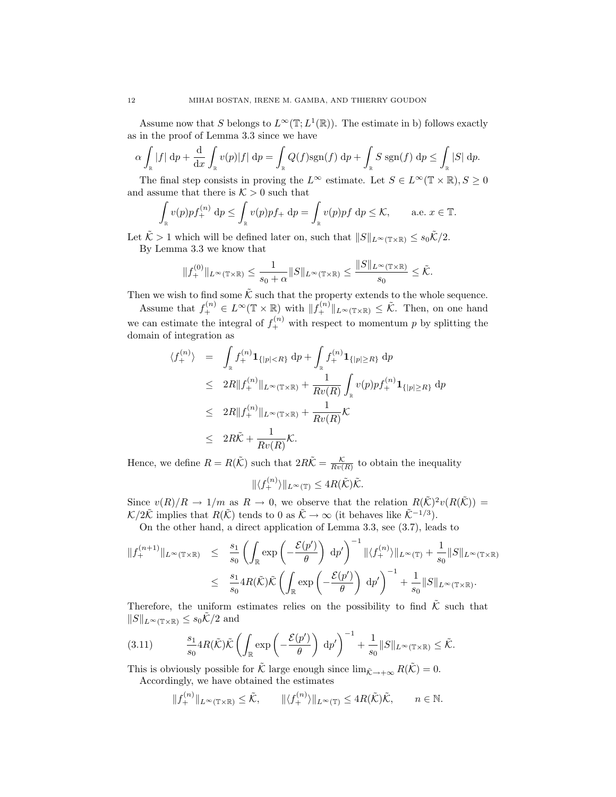Assume now that S belongs to  $L^{\infty}(\mathbb{T}; L^{1}(\mathbb{R}))$ . The estimate in b) follows exactly as in the proof of Lemma 3.3 since we have

$$
\alpha \int_{\mathbb{R}} |f| \, \mathrm{d}p + \frac{\mathrm{d}}{\mathrm{d}x} \int_{\mathbb{R}} v(p)|f| \, \mathrm{d}p = \int_{\mathbb{R}} Q(f) \mathrm{sgn}(f) \, \mathrm{d}p + \int_{\mathbb{R}} S \, \mathrm{sgn}(f) \, \mathrm{d}p \le \int_{\mathbb{R}} |S| \, \mathrm{d}p.
$$

The final step consists in proving the  $L^{\infty}$  estimate. Let  $S \in L^{\infty}(\mathbb{T} \times \mathbb{R}), S \geq 0$ and assume that there is  $K > 0$  such that

$$
\int_{\mathbb{R}} v(p) p f_{+}^{(n)} dp \le \int_{\mathbb{R}} v(p) p f_{+} dp = \int_{\mathbb{R}} v(p) p f dp \le \mathcal{K}, \quad \text{a.e. } x \in \mathbb{T}.
$$

Let  $\tilde{\mathcal{K}} > 1$  which will be defined later on, such that  $||S||_{L^{\infty}(\mathbb{T} \times \mathbb{R})} \leq s_0 \tilde{\mathcal{K}}/2$ . By Lemma 3.3 we know that

$$
||f_+^{(0)}||_{L^\infty(\mathbb{T}\times\mathbb{R})}\leq \frac{1}{s_0+\alpha}||S||_{L^\infty(\mathbb{T}\times\mathbb{R})}\leq \frac{||S||_{L^\infty(\mathbb{T}\times\mathbb{R})}}{s_0}\leq \tilde{\mathcal{K}}.
$$

Then we wish to find some  $\tilde{\mathcal{K}}$  such that the property extends to the whole sequence.

Assume that  $f_+^{(n)} \in L^{\infty}(\mathbb{T} \times \mathbb{R})$  with  $||f_+^{(n)}||_{L^{\infty}(\mathbb{T} \times \mathbb{R})} \leq \tilde{\mathcal{K}}$ . Then, on one hand we can estimate the integral of  $f_+^{(n)}$  with respect to momentum p by splitting the domain of integration as

$$
\langle f_{+}^{(n)} \rangle = \int_{\mathbb{R}} f_{+}^{(n)} \mathbf{1}_{\{|p| < R\}} \, dp + \int_{\mathbb{R}} f_{+}^{(n)} \mathbf{1}_{\{|p| \ge R\}} \, dp
$$
\n
$$
\leq 2R \| f_{+}^{(n)} \|_{L^{\infty}(\mathbb{T} \times \mathbb{R})} + \frac{1}{Rv(R)} \int_{\mathbb{R}} v(p) p f_{+}^{(n)} \mathbf{1}_{\{|p| \ge R\}} \, dp
$$
\n
$$
\leq 2R \| f_{+}^{(n)} \|_{L^{\infty}(\mathbb{T} \times \mathbb{R})} + \frac{1}{Rv(R)} \mathcal{K}
$$
\n
$$
\leq 2R\tilde{\mathcal{K}} + \frac{1}{Rv(R)} \mathcal{K}.
$$

Hence, we define  $R = R(\tilde{\mathcal{K}})$  such that  $2R\tilde{\mathcal{K}} = \frac{\mathcal{K}}{Rv(R)}$  to obtain the inequality

$$
\|\langle f_+^{(n)}\rangle\|_{L^\infty(\mathbb{T})} \le 4R(\tilde{\mathcal{K}})\tilde{\mathcal{K}}.
$$

Since  $v(R)/R \to 1/m$  as  $R \to 0$ , we observe that the relation  $R(\tilde{\mathcal{K}})^2 v(R(\tilde{\mathcal{K}})) =$  $\mathcal{K}/2\tilde{\mathcal{K}}$  implies that  $R(\tilde{\mathcal{K}})$  tends to 0 as  $\tilde{\mathcal{K}} \to \infty$  (it behaves like  $\tilde{\mathcal{K}}^{-1/3}$ ).

On the other hand, a direct application of Lemma 3.3, see (3.7), leads to

$$
\begin{array}{rcl}\n\|f^{(n+1)}_{+}\|_{L^{\infty}(\mathbb{T}\times\mathbb{R})} & \leq & \frac{s_{1}}{s_{0}} \left( \int_{\mathbb{R}} \exp\left( -\frac{\mathcal{E}(p')}{\theta} \right) \, \mathrm{d}p' \right)^{-1} \|\langle f^{(n)}_{+} \rangle\|_{L^{\infty}(\mathbb{T})} + \frac{1}{s_{0}} \|S\|_{L^{\infty}(\mathbb{T}\times\mathbb{R})} \\
& \leq & \frac{s_{1}}{s_{0}} 4R(\tilde{\mathcal{K}})\tilde{\mathcal{K}} \left( \int_{\mathbb{R}} \exp\left( -\frac{\mathcal{E}(p')}{\theta} \right) \, \mathrm{d}p' \right)^{-1} + \frac{1}{s_{0}} \|S\|_{L^{\infty}(\mathbb{T}\times\mathbb{R})}.\n\end{array}
$$

Therefore, the uniform estimates relies on the possibility to find  $K$  such that  $||S||_{L^{\infty}(\mathbb{T}\times\mathbb{R})} \leq s_0\tilde{\mathcal{K}}/2$  and

(3.11) <sup>s</sup><sup>1</sup> s0 4R(K˜)K˜ Z R exp − E(p 0 ) θ dp 0 <sup>−</sup><sup>1</sup> + 1 s0 kSkL∞(T×R) ≤ K˜.

This is obviously possible for K large enough since  $\lim_{\tilde{\mathcal{K}} \to +\infty} R(\mathcal{K}) = 0$ . Accordingly, we have obtained the estimates

$$
||f_+^{(n)}||_{L^{\infty}(\mathbb{T}\times\mathbb{R})}\leq \tilde{\mathcal{K}}, \qquad ||\langle f_+^{(n)}\rangle||_{L^{\infty}(\mathbb{T})}\leq 4R(\tilde{\mathcal{K}})\tilde{\mathcal{K}}, \qquad n\in\mathbb{N}.
$$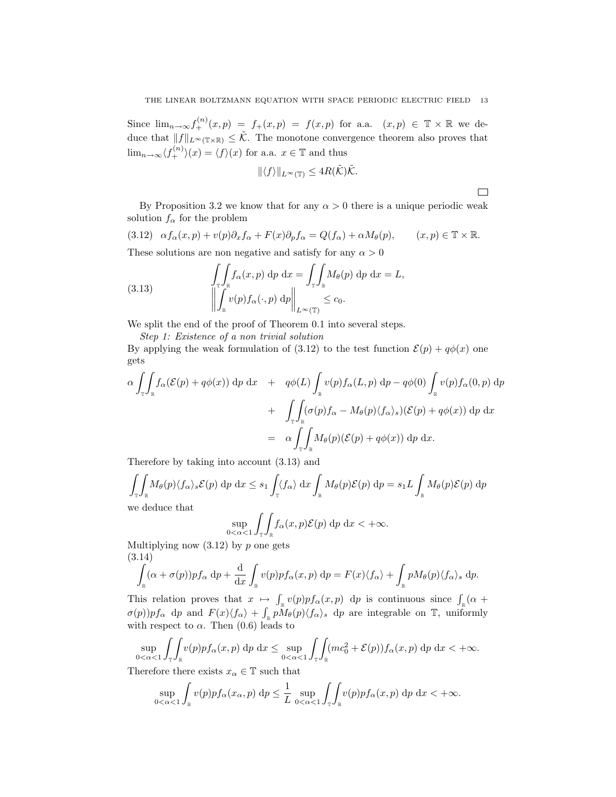Since  $\lim_{n\to\infty} f^{(n)}_+(x,p) = f_+(x,p) = f(x,p)$  for a.a.  $(x,p) \in \mathbb{T} \times \mathbb{R}$  we deduce that  $||f||_{L^{\infty}(\mathbb{T}\times\mathbb{R})} \leq \tilde{\mathcal{K}}$ . The monotone convergence theorem also proves that  $\lim_{n\to\infty}\langle f_+^{(n)}\rangle(x) = \langle f\rangle(x)$  for a.a.  $x \in \mathbb{T}$  and thus

$$
\|\langle f\rangle\|_{L^{\infty}(\mathbb{T})} \leq 4R(\tilde{\mathcal{K}})\tilde{\mathcal{K}}.
$$

 $\Box$ 

By Proposition 3.2 we know that for any  $\alpha > 0$  there is a unique periodic weak solution  $f_{\alpha}$  for the problem

(3.12)  $\alpha f_{\alpha}(x, p) + v(p) \partial_x f_{\alpha} + F(x) \partial_p f_{\alpha} = Q(f_{\alpha}) + \alpha M_{\theta}(p), \qquad (x, p) \in \mathbb{T} \times \mathbb{R}.$ These solutions are non negative and satisfy for any  $\alpha > 0$ 

(3.13) 
$$
\iint_{\mathbb{T}} f_{\alpha}(x, p) dp dx = \iint_{\mathbb{T}} M_{\theta}(p) dp dx = L,
$$

$$
\left\| \int_{\mathbb{R}} v(p) f_{\alpha}(\cdot, p) dp \right\|_{L^{\infty}(\mathbb{T})} \leq c_0.
$$

We split the end of the proof of Theorem 0.1 into several steps.

Step 1: Existence of a non trivial solution

By applying the weak formulation of (3.12) to the test function  $\mathcal{E}(p) + q\phi(x)$  one gets

$$
\alpha \int_{\mathbb{T}} \int_{\mathbb{R}} f_{\alpha}(\mathcal{E}(p) + q\phi(x)) \, \mathrm{d}p \, \mathrm{d}x + q\phi(L) \int_{\mathbb{R}} v(p) f_{\alpha}(L, p) \, \mathrm{d}p - q\phi(0) \int_{\mathbb{R}} v(p) f_{\alpha}(0, p) \, \mathrm{d}p \n+ \int_{\mathbb{T}} \int_{\mathbb{R}} (\sigma(p) f_{\alpha} - M_{\theta}(p) \langle f_{\alpha} \rangle_{s}) (\mathcal{E}(p) + q\phi(x)) \, \mathrm{d}p \, \mathrm{d}x \n= \alpha \int_{\mathbb{T}} \int_{\mathbb{R}} M_{\theta}(p) (\mathcal{E}(p) + q\phi(x)) \, \mathrm{d}p \, \mathrm{d}x.
$$

Therefore by taking into account (3.13) and

$$
\int_{\mathbb{T}} \int_{\mathbb{R}} M_{\theta}(p) \langle f_{\alpha} \rangle_{s} \mathcal{E}(p) \, \mathrm{d}p \, \mathrm{d}x \leq s_{1} \int_{\mathbb{T}} \langle f_{\alpha} \rangle \, \mathrm{d}x \int_{\mathbb{R}} M_{\theta}(p) \mathcal{E}(p) \, \mathrm{d}p = s_{1} L \int_{\mathbb{R}} M_{\theta}(p) \mathcal{E}(p) \, \mathrm{d}p
$$

we deduce that

$$
\sup_{0<\alpha<1}\int_{\mathbb{T}}\int_{\mathbb{R}}f_{\alpha}(x,p)\mathcal{E}(p)\,dp\,dx<+\infty.
$$

Multiplying now  $(3.12)$  by p one gets (3.14)

$$
\int_{\mathbb{R}} (\alpha + \sigma(p)) p f_{\alpha} dp + \frac{d}{dx} \int_{\mathbb{R}} v(p) p f_{\alpha}(x, p) dp = F(x) \langle f_{\alpha} \rangle + \int_{\mathbb{R}} p M_{\theta}(p) \langle f_{\alpha} \rangle_{s} dp.
$$

This relation proves that  $x \mapsto \int_{\mathbb{R}} v(p) p f_{\alpha}(x, p) dp$  is continuous since  $\int_{\mathbb{R}} (\alpha +$  $\sigma(p)$ ) $pf_{\alpha}$  dp and  $F(x)\langle f_{\alpha}\rangle + \int_{\mathbb{R}} p\tilde{M}_{\theta}(p)\langle f_{\alpha}\rangle_s$  dp are integrable on T, uniformly with respect to  $\alpha$ . Then (0.6) leads to

$$
\sup_{0<\alpha<1}\int_{\mathbb{T}}\int_{\mathbb{R}}v(p)pf_{\alpha}(x,p) dp dx \leq \sup_{0<\alpha<1}\int_{\mathbb{T}}\int_{\mathbb{R}}(mc_0^2+\mathcal{E}(p))f_{\alpha}(x,p) dp dx < +\infty.
$$

Therefore there exists  $x_{\alpha} \in \mathbb{T}$  such that

$$
\sup_{0<\alpha<1}\int_{\mathbb{R}}v(p)pf_{\alpha}(x_{\alpha},p) dp \leq \frac{1}{L} \sup_{0<\alpha<1}\int_{\mathbb{T}}\int_{\mathbb{R}}v(p)pf_{\alpha}(x,p) dp dx < +\infty.
$$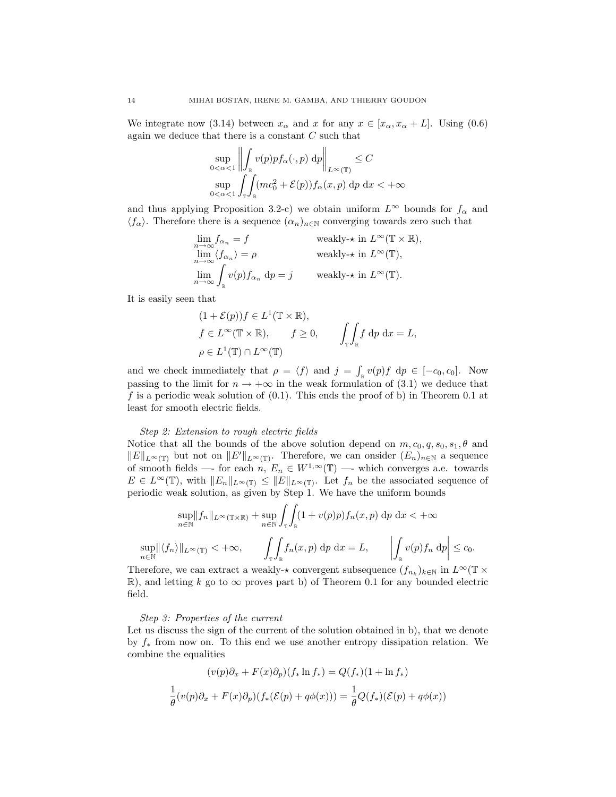We integrate now (3.14) between  $x_{\alpha}$  and x for any  $x \in [x_{\alpha}, x_{\alpha} + L]$ . Using (0.6) again we deduce that there is a constant  $C$  such that

$$
\sup_{0<\alpha<1}\left\|\int_{\mathbb{R}}v(p)pf_{\alpha}(\cdot,p)\,dp\right\|_{L^{\infty}(\mathbb{T})}\leq C
$$
  

$$
\sup_{0<\alpha<1}\int_{\mathbb{T}}\int_{\mathbb{R}}(mc_0^2+\mathcal{E}(p))f_{\alpha}(x,p)\,dp\,dx<+\infty
$$

and thus applying Proposition 3.2-c) we obtain uniform  $L^{\infty}$  bounds for  $f_{\alpha}$  and  $\langle f_{\alpha} \rangle$ . Therefore there is a sequence  $(\alpha_n)_{n \in \mathbb{N}}$  converging towards zero such that

$$
\lim_{n \to \infty} f_{\alpha_n} = f \qquad \text{weakly-} \star \text{ in } L^{\infty}(\mathbb{T} \times \mathbb{R}),
$$
  
\n
$$
\lim_{n \to \infty} \langle f_{\alpha_n} \rangle = \rho \qquad \text{weakly-} \star \text{ in } L^{\infty}(\mathbb{T}),
$$
  
\n
$$
\lim_{n \to \infty} \int_{\mathbb{R}} v(p) f_{\alpha_n} dp = j \qquad \text{weakly-} \star \text{ in } L^{\infty}(\mathbb{T}).
$$

It is easily seen that

$$
(1 + \mathcal{E}(p))f \in L^{1}(\mathbb{T} \times \mathbb{R}),
$$
  
\n $f \in L^{\infty}(\mathbb{T} \times \mathbb{R}),$   $f \ge 0,$   $\int_{\mathbb{T}} \int_{\mathbb{R}} f \, dp \, dx = L,$   
\n $\rho \in L^{1}(\mathbb{T}) \cap L^{\infty}(\mathbb{T})$ 

and we check immediately that  $\rho = \langle f \rangle$  and  $j = \int_{\mathbb{R}} v(p)f \, dp \in [-c_0, c_0]$ . Now passing to the limit for  $n \to +\infty$  in the weak formulation of (3.1) we deduce that f is a periodic weak solution of  $(0.1)$ . This ends the proof of b) in Theorem 0.1 at least for smooth electric fields.

### Step 2: Extension to rough electric fields

Notice that all the bounds of the above solution depend on  $m, c_0, q, s_0, s_1, \theta$  and  $||E||_{L^{\infty}(\mathbb{T})}$  but not on  $||E'||_{L^{\infty}(\mathbb{T})}$ . Therefore, we can onsider  $(E_n)_{n\in\mathbb{N}}$  a sequence of smooth fields —- for each  $n, E_n \in W^{1,\infty}(\mathbb{T})$  —- which converges a.e. towards  $E \in L^{\infty}(\mathbb{T})$ , with  $||E_n||_{L^{\infty}(\mathbb{T})} \leq ||E||_{L^{\infty}(\mathbb{T})}$ . Let  $f_n$  be the associated sequence of periodic weak solution, as given by Step 1. We have the uniform bounds

$$
\sup_{n \in \mathbb{N}} \|f_n\|_{L^{\infty}(\mathbb{T} \times \mathbb{R})} + \sup_{n \in \mathbb{N}} \int_{\mathbb{T}} \int_{\mathbb{R}} (1 + v(p)p)f_n(x, p) \, dp \, dx < +\infty
$$
  

$$
\sup_{n \in \mathbb{N}} \|\langle f_n \rangle\|_{L^{\infty}(\mathbb{T})} < +\infty, \qquad \int_{\mathbb{T}} \int_{\mathbb{R}} f_n(x, p) \, dp \, dx = L, \qquad \left| \int_{\mathbb{R}} v(p)f_n \, dp \right| \leq c_0.
$$

Therefore, we can extract a weakly- $\star$  convergent subsequence  $(f_{n_k})_{k \in \mathbb{N}}$  in  $L^{\infty}(\mathbb{T} \times$ R), and letting k go to  $\infty$  proves part b) of Theorem 0.1 for any bounded electric field.

### Step 3: Properties of the current

Let us discuss the sign of the current of the solution obtained in b), that we denote by  $f_*$  from now on. To this end we use another entropy dissipation relation. We combine the equalities

$$
(v(p)\partial_x + F(x)\partial_p)(f_* \ln f_*) = Q(f_*)(1 + \ln f_*)
$$
  

$$
\frac{1}{\theta}(v(p)\partial_x + F(x)\partial_p)(f_*(\mathcal{E}(p) + q\phi(x))) = \frac{1}{\theta}Q(f_*)(\mathcal{E}(p) + q\phi(x))
$$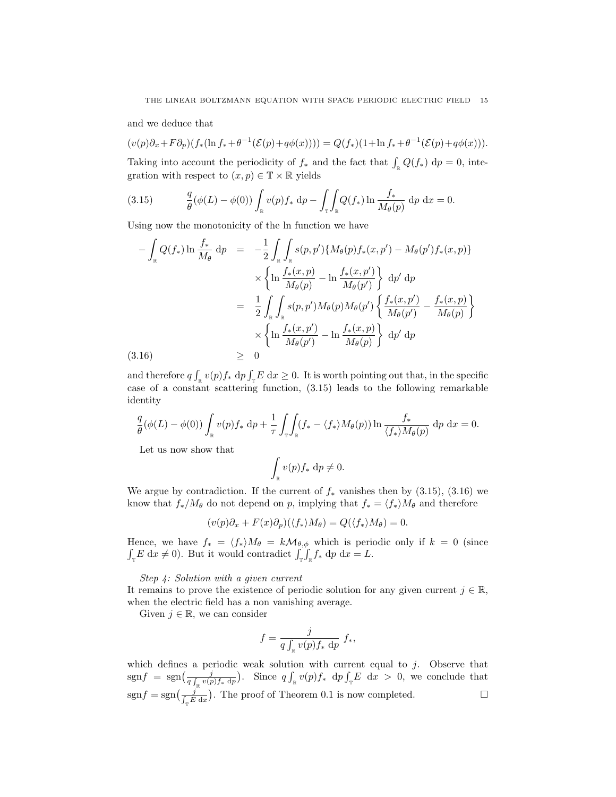and we deduce that

 $(v(p)\partial_x + F\partial_p)(f_*(\ln f_* + \theta^{-1}(\mathcal{E}(p) + q\phi(x)))) = Q(f_*)(1 + \ln f_* + \theta^{-1}(\mathcal{E}(p) + q\phi(x))).$ 

Taking into account the periodicity of  $f_*$  and the fact that  $\int_{\mathbb{R}} Q(f_*) \, dp = 0$ , integration with respect to  $(x, p) \in \mathbb{T} \times \mathbb{R}$  yields

(3.15) 
$$
\frac{q}{\theta}(\phi(L) - \phi(0)) \int_{\mathbb{R}} v(p) f_* \, dp - \int_{\mathbb{T}} \int_{\mathbb{R}} Q(f_*) \ln \frac{f_*}{M_{\theta}(p)} dp \, dx = 0.
$$

Using now the monotonicity of the ln function we have

$$
-\int_{\mathbb{R}} Q(f_*) \ln \frac{f_*}{M_{\theta}} dp = -\frac{1}{2} \int_{\mathbb{R}} \int_{\mathbb{R}} s(p, p') \{ M_{\theta}(p) f_*(x, p') - M_{\theta}(p') f_*(x, p) \} \times \left\{ \ln \frac{f_*(x, p)}{M_{\theta}(p)} - \ln \frac{f_*(x, p')}{M_{\theta}(p')} \right\} dp' dp = \frac{1}{2} \int_{\mathbb{R}} \int_{\mathbb{R}} s(p, p') M_{\theta}(p) M_{\theta}(p') \left\{ \frac{f_*(x, p')}{M_{\theta}(p')} - \frac{f_*(x, p)}{M_{\theta}(p)} \right\} \times \left\{ \ln \frac{f_*(x, p')}{M_{\theta}(p')} - \ln \frac{f_*(x, p)}{M_{\theta}(p)} \right\} dp' dp (3.16) \geq 0
$$

and therefore  $q \int_{\mathbb{R}} v(p) f_* \, dp \int_{\mathbb{T}} E \, dx \ge 0$ . It is worth pointing out that, in the specific case of a constant scattering function, (3.15) leads to the following remarkable identity

$$
\frac{q}{\theta}(\phi(L) - \phi(0)) \int_{\mathbb{R}} v(p) f_* \, dp + \frac{1}{\tau} \int_{\mathbb{T}} \int_{\mathbb{R}} (f_* - \langle f_* \rangle M_{\theta}(p)) \ln \frac{f_*}{\langle f_* \rangle M_{\theta}(p)} \, dp \, dx = 0.
$$

Let us now show that

$$
\int_{\mathbb{R}} v(p) f_* \, \mathrm{d}p \neq 0.
$$

We argue by contradiction. If the current of  $f_*$  vanishes then by (3.15), (3.16) we know that  $f_*/M_\theta$  do not depend on p, implying that  $f_* = \langle f_* \rangle M_\theta$  and therefore

$$
(v(p)\partial_x + F(x)\partial_p)(\langle f_* \rangle M_\theta) = Q(\langle f_* \rangle M_\theta) = 0.
$$

Hence, we have  $f_* = \langle f_* \rangle M_\theta = k \mathcal{M}_{\theta, \phi}$  which is periodic only if  $k = 0$  (since  $\int_{\mathbb{T}} E \, dx \neq 0$ . But it would contradict  $\int_{\mathbb{T}} \int_{\mathbb{R}} f_* \, dp \, dx = L$ .

## Step 4: Solution with a given current

It remains to prove the existence of periodic solution for any given current  $j \in \mathbb{R}$ , when the electric field has a non vanishing average.

Given  $j \in \mathbb{R}$ , we can consider

$$
f = \frac{j}{q \int_{\mathbb{R}} v(p) f_* \, \mathrm{d}p} \ f_*,
$$

which defines a periodic weak solution with current equal to  $j$ . Observe that  $sgnf = sgn(\frac{j}{af - r/r})$  $\frac{j}{q \int_{\mathbb{R}} v(p) f_* \, dp}$ . Since  $q \int_{\mathbb{R}} v(p) f_* \, dp \int_{\mathbb{T}} E \, dx > 0$ , we conclude that  $sgnf = sgn(\frac{j}{\int_{\tau} E dx})$ . The proof of Theorem 0.1 is now completed.